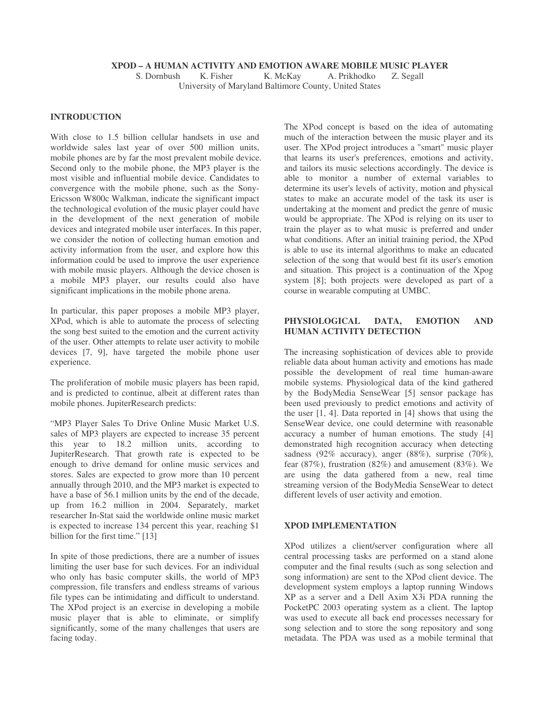**XPOD – A HUMAN ACTIVITY AND EMOTION AWARE MOBILE MUSIC PLAYER**

S. Dornbush K. Fisher K. McKay A. Prikhodko Z. Segall University of Maryland Baltimore County, United States

## **INTRODUCTION**

With close to 1.5 billion cellular handsets in use and worldwide sales last year of over 500 million units, mobile phones are by far the most prevalent mobile device. Second only to the mobile phone, the MP3 player is the most visible and influential mobile device. Candidates to convergence with the mobile phone, such as the Sony-Ericsson W800c Walkman, indicate the significant impact the technological evolution of the music player could have in the development of the next generation of mobile devices and integrated mobile user interfaces. In this paper, we consider the notion of collecting human emotion and activity information from the user, and explore how this information could be used to improve the user experience with mobile music players. Although the device chosen is a mobile MP3 player, our results could also have significant implications in the mobile phone arena.

In particular, this paper proposes a mobile MP3 player, XPod, which is able to automate the process of selecting the song best suited to the emotion and the current activity of the user. Other attempts to relate user activity to mobile devices [7, 9], have targeted the mobile phone user experience.

The proliferation of mobile music players has been rapid, and is predicted to continue, albeit at different rates than mobile phones. JupiterResearch predicts:

"MP3 Player Sales To Drive Online Music Market U.S. sales of MP3 players are expected to increase 35 percent this year to 18.2 million units, according to JupiterResearch. That growth rate is expected to be enough to drive demand for online music services and stores. Sales are expected to grow more than 10 percent annually through 2010, and the MP3 market is expected to have a base of 56.1 million units by the end of the decade, up from 16.2 million in 2004. Separately, market researcher In-Stat said the worldwide online music market is expected to increase 134 percent this year, reaching \$1 billion for the first time." [13]

In spite of those predictions, there are a number of issues limiting the user base for such devices. For an individual who only has basic computer skills, the world of MP3 compression, file transfers and endless streams of various file types can be intimidating and difficult to understand. The XPod project is an exercise in developing a mobile music player that is able to eliminate, or simplify significantly, some of the many challenges that users are facing today.

The XPod concept is based on the idea of automating much of the interaction between the music player and its user. The XPod project introduces a "smart" music player that learns its user's preferences, emotions and activity, and tailors its music selections accordingly. The device is able to monitor a number of external variables to determine its user's levels of activity, motion and physical states to make an accurate model of the task its user is undertaking at the moment and predict the genre of music would be appropriate. The XPod is relying on its user to train the player as to what music is preferred and under what conditions. After an initial training period, the XPod is able to use its internal algorithms to make an educated selection of the song that would best fit its user's emotion and situation. This project is a continuation of the Xpog system [8]; both projects were developed as part of a course in wearable computing at UMBC.

## **PHYSIOLOGICAL DATA, EMOTION AND HUMAN ACTIVITY DETECTION**

The increasing sophistication of devices able to provide reliable data about human activity and emotions has made possible the development of real time human-aware mobile systems. Physiological data of the kind gathered by the BodyMedia SenseWear [5] sensor package has been used previously to predict emotions and activity of the user [1, 4]. Data reported in [4] shows that using the SenseWear device, one could determine with reasonable accuracy a number of human emotions. The study [4] demonstrated high recognition accuracy when detecting sadness (92% accuracy), anger (88%), surprise (70%), fear (87%), frustration (82%) and amusement (83%). We are using the data gathered from a new, real time streaming version of the BodyMedia SenseWear to detect different levels of user activity and emotion.

#### **XPOD IMPLEMENTATION**

XPod utilizes a client/server configuration where all central processing tasks are performed on a stand alone computer and the final results (such as song selection and song information) are sent to the XPod client device. The development system employs a laptop running Windows XP as a server and a Dell Axim X3i PDA running the PocketPC 2003 operating system as a client. The laptop was used to execute all back end processes necessary for song selection and to store the song repository and song metadata. The PDA was used as a mobile terminal that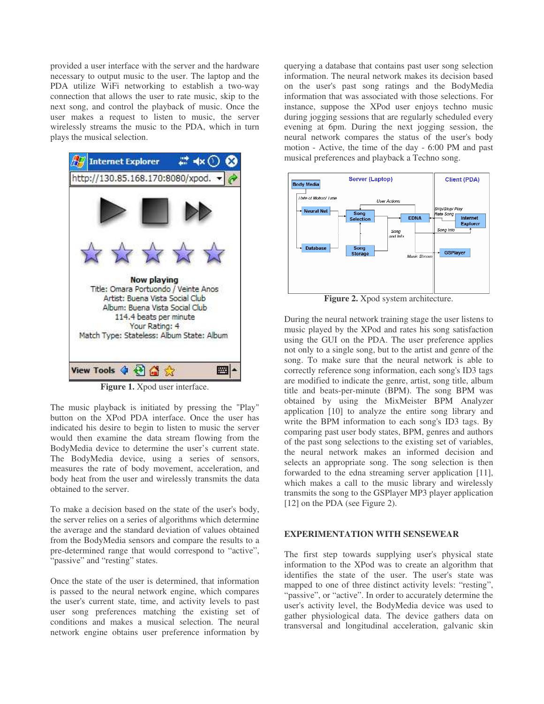provided a user interface with the server and the hardware necessary to output music to the user. The laptop and the PDA utilize WiFi networking to establish a two-way connection that allows the user to rate music, skip to the next song, and control the playback of music. Once the user makes a request to listen to music, the server wirelessly streams the music to the PDA, which in turn plays the musical selection.



**Figure 1.** Xpod user interface.

The music playback is initiated by pressing the "Play" button on the XPod PDA interface. Once the user has indicated his desire to begin to listen to music the server would then examine the data stream flowing from the BodyMedia device to determine the user's current state. The BodyMedia device, using a series of sensors, measures the rate of body movement, acceleration, and body heat from the user and wirelessly transmits the data obtained to the server.

To make a decision based on the state of the user's body, the server relies on a series of algorithms which determine the average and the standard deviation of values obtained from the BodyMedia sensors and compare the results to a pre-determined range that would correspond to "active", "passive" and "resting" states.

Once the state of the user is determined, that information is passed to the neural network engine, which compares the user's current state, time, and activity levels to past user song preferences matching the existing set of conditions and makes a musical selection. The neural network engine obtains user preference information by

querying a database that contains past user song selection information. The neural network makes its decision based on the user's past song ratings and the BodyMedia information that was associated with those selections. For instance, suppose the XPod user enjoys techno music during jogging sessions that are regularly scheduled every evening at 6pm. During the next jogging session, the neural network compares the status of the user's body motion - Active, the time of the day - 6:00 PM and past musical preferences and playback a Techno song.



**Figure 2.** Xpod system architecture.

During the neural network training stage the user listens to music played by the XPod and rates his song satisfaction using the GUI on the PDA. The user preference applies not only to a single song, but to the artist and genre of the song. To make sure that the neural network is able to correctly reference song information, each song's ID3 tags are modified to indicate the genre, artist, song title, album title and beats-per-minute (BPM). The song BPM was obtained by using the MixMeister BPM Analyzer application [10] to analyze the entire song library and write the BPM information to each song's ID3 tags. By comparing past user body states, BPM, genres and authors of the past song selections to the existing set of variables, the neural network makes an informed decision and selects an appropriate song. The song selection is then forwarded to the edna streaming server application [11], which makes a call to the music library and wirelessly transmits the song to the GSPlayer MP3 player application [12] on the PDA (see Figure 2).

## **EXPERIMENTATION WITH SENSEWEAR**

The first step towards supplying user's physical state information to the XPod was to create an algorithm that identifies the state of the user. The user's state was mapped to one of three distinct activity levels: "resting", "passive", or "active". In order to accurately determine the user's activity level, the BodyMedia device was used to gather physiological data. The device gathers data on transversal and longitudinal acceleration, galvanic skin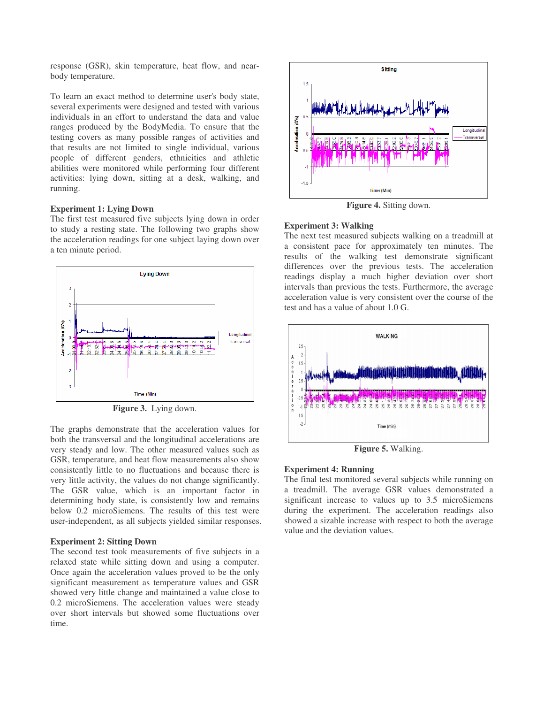response (GSR), skin temperature, heat flow, and nearbody temperature.

To learn an exact method to determine user's body state, several experiments were designed and tested with various individuals in an effort to understand the data and value ranges produced by the BodyMedia. To ensure that the testing covers as many possible ranges of activities and that results are not limited to single individual, various people of different genders, ethnicities and athletic abilities were monitored while performing four different activities: lying down, sitting at a desk, walking, and running.

# **Experiment 1: Lying Down**

The first test measured five subjects lying down in order to study a resting state. The following two graphs show the acceleration readings for one subject laying down over a ten minute period.



**Figure 3.** Lying down.

The graphs demonstrate that the acceleration values for both the transversal and the longitudinal accelerations are very steady and low. The other measured values such as GSR, temperature, and heat flow measurements also show consistently little to no fluctuations and because there is very little activity, the values do not change significantly. The GSR value, which is an important factor in determining body state, is consistently low and remains below 0.2 microSiemens. The results of this test were user-independent, as all subjects yielded similar responses.

#### **Experiment 2: Sitting Down**

The second test took measurements of five subjects in a relaxed state while sitting down and using a computer. Once again the acceleration values proved to be the only significant measurement as temperature values and GSR showed very little change and maintained a value close to 0.2 microSiemens. The acceleration values were steady over short intervals but showed some fluctuations over time.



**Figure 4.** Sitting down.

# **Experiment 3: Walking**

The next test measured subjects walking on a treadmill at a consistent pace for approximately ten minutes. The results of the walking test demonstrate significant differences over the previous tests. The acceleration readings display a much higher deviation over short intervals than previous the tests. Furthermore, the average acceleration value is very consistent over the course of the test and has a value of about 1.0 G.



**Figure 5.** Walking.

## **Experiment 4: Running**

The final test monitored several subjects while running on a treadmill. The average GSR values demonstrated a significant increase to values up to 3.5 microSiemens during the experiment. The acceleration readings also showed a sizable increase with respect to both the average value and the deviation values.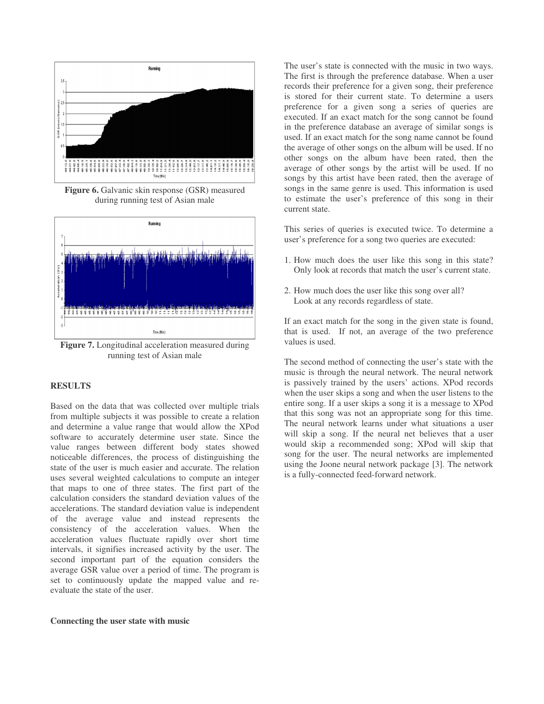

**Figure 6.** Galvanic skin response (GSR) measured during running test of Asian male



**Figure 7.** Longitudinal acceleration measured during running test of Asian male

# **RESULTS**

Based on the data that was collected over multiple trials from multiple subjects it was possible to create a relation and determine a value range that would allow the XPod software to accurately determine user state. Since the value ranges between different body states showed noticeable differences, the process of distinguishing the state of the user is much easier and accurate. The relation uses several weighted calculations to compute an integer that maps to one of three states. The first part of the calculation considers the standard deviation values of the accelerations. The standard deviation value is independent of the average value and instead represents the consistency of the acceleration values. When the acceleration values fluctuate rapidly over short time intervals, it signifies increased activity by the user. The second important part of the equation considers the average GSR value over a period of time. The program is set to continuously update the mapped value and reevaluate the state of the user.

**Connecting the user state with music**

The user's state is connected with the music in two ways. The first is through the preference database. When a user records their preference for a given song, their preference is stored for their current state. To determine a users preference for a given song a series of queries are executed. If an exact match for the song cannot be found in the preference database an average of similar songs is used. If an exact match for the song name cannot be found the average of other songs on the album will be used. If no other songs on the album have been rated, then the average of other songs by the artist will be used. If no songs by this artist have been rated, then the average of songs in the same genre is used. This information is used to estimate the user's preference of this song in their current state.

This series of queries is executed twice. To determine a user's preference for a song two queries are executed:

- 1. How much does the user like this song in this state? Only look at records that match the user's current state.
- 2. How much does the user like this song over all? Look at any records regardless of state.

If an exact match for the song in the given state is found, that is used. If not, an average of the two preference values is used.

The second method of connecting the user's state with the music is through the neural network. The neural network is passively trained by the users' actions. XPod records when the user skips a song and when the user listens to the entire song. If a user skips a song it is a message to XPod that this song was not an appropriate song for this time. The neural network learns under what situations a user will skip a song. If the neural net believes that a user would skip a recommended song; XPod will skip that song for the user. The neural networks are implemented using the Joone neural network package [3]. The network is a fully-connected feed-forward network.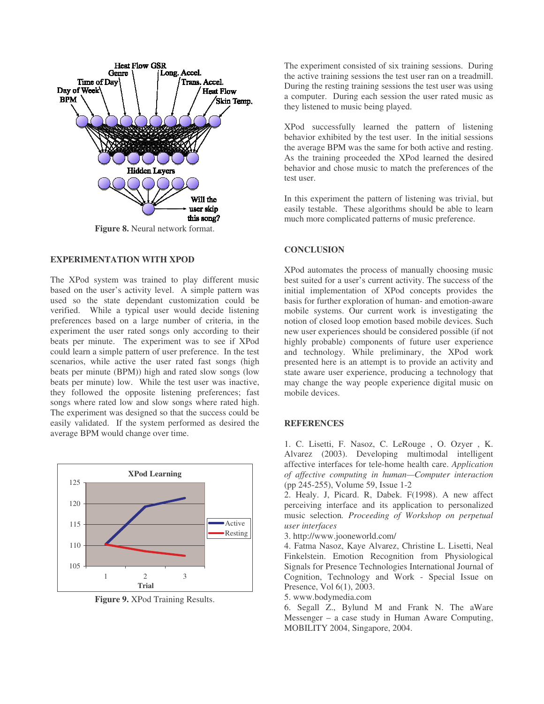

**Figure 8.** Neural network format.

## **EXPERIMENTATION WITH XPOD**

The XPod system was trained to play different music based on the user's activity level. A simple pattern was used so the state dependant customization could be verified. While a typical user would decide listening preferences based on a large number of criteria, in the experiment the user rated songs only according to their beats per minute. The experiment was to see if XPod could learn a simple pattern of user preference. In the test scenarios, while active the user rated fast songs (high beats per minute (BPM)) high and rated slow songs (low beats per minute) low. While the test user was inactive, they followed the opposite listening preferences; fast songs where rated low and slow songs where rated high. The experiment was designed so that the success could be easily validated. If the system performed as desired the average BPM would change over time.



**Figure 9.** XPod Training Results.

The experiment consisted of six training sessions. During the active training sessions the test user ran on a treadmill. During the resting training sessions the test user was using a computer. During each session the user rated music as they listened to music being played.

XPod successfully learned the pattern of listening behavior exhibited by the test user. In the initial sessions the average BPM was the same for both active and resting. As the training proceeded the XPod learned the desired behavior and chose music to match the preferences of the test user.

In this experiment the pattern of listening was trivial, but easily testable. These algorithms should be able to learn much more complicated patterns of music preference.

## **CONCLUSION**

XPod automates the process of manually choosing music best suited for a user's current activity. The success of the initial implementation of XPod concepts provides the basis for further exploration of human- and emotion-aware mobile systems. Our current work is investigating the notion of closed loop emotion based mobile devices. Such new user experiences should be considered possible (if not highly probable) components of future user experience and technology. While preliminary, the XPod work presented here is an attempt is to provide an activity and state aware user experience, producing a technology that may change the way people experience digital music on mobile devices.

## **REFERENCES**

1. C. Lisetti, F. Nasoz, C. LeRouge , O. Ozyer , K. Alvarez (2003). Developing multimodal intelligent affective interfaces for tele-home health care. *Application of affective computing in human—Computer interaction* (pp 245-255), Volume 59, Issue 1-2

2. Healy. J, Picard. R, Dabek. F(1998). A new affect perceiving interface and its application to personalized music selection*. Proceeding of Workshop on perpetual user interfaces*

3. http://www.jooneworld.com/

4. Fatma Nasoz, Kaye Alvarez, Christine L. Lisetti, Neal Finkelstein. Emotion Recognition from Physiological Signals for Presence Technologies International Journal of Cognition, Technology and Work - Special Issue on Presence, Vol 6(1), 2003.

5. www.bodymedia.com

6. Segall Z., Bylund M and Frank N. The aWare Messenger – a case study in Human Aware Computing, MOBILITY 2004, Singapore, 2004.